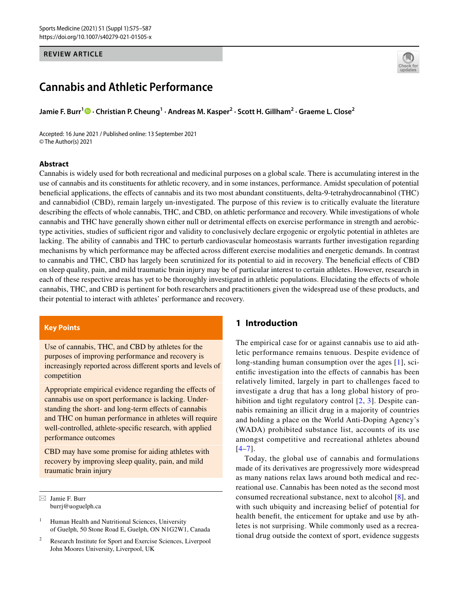# **REVIEW ARTICLE**



# **Cannabis and Athletic Performance**

**Jamie F. Burr1  [·](http://orcid.org/0000-0002-5449-3352) Christian P. Cheung1 · Andreas M. Kasper2 · Scott H. Gillham2 · Graeme L. Close2**

Accepted: 16 June 2021 / Published online: 13 September 2021 © The Author(s) 2021

### **Abstract**

Cannabis is widely used for both recreational and medicinal purposes on a global scale. There is accumulating interest in the use of cannabis and its constituents for athletic recovery, and in some instances, performance. Amidst speculation of potential benefcial applications, the efects of cannabis and its two most abundant constituents, delta-9-tetrahydrocannabinol (THC) and cannabidiol (CBD), remain largely un-investigated. The purpose of this review is to critically evaluate the literature describing the effects of whole cannabis, THC, and CBD, on athletic performance and recovery. While investigations of whole cannabis and THC have generally shown either null or detrimental efects on exercise performance in strength and aerobictype activities, studies of sufficient rigor and validity to conclusively declare ergogenic or ergolytic potential in athletes are lacking. The ability of cannabis and THC to perturb cardiovascular homeostasis warrants further investigation regarding mechanisms by which performance may be afected across diferent exercise modalities and energetic demands. In contrast to cannabis and THC, CBD has largely been scrutinized for its potential to aid in recovery. The benefcial efects of CBD on sleep quality, pain, and mild traumatic brain injury may be of particular interest to certain athletes. However, research in each of these respective areas has yet to be thoroughly investigated in athletic populations. Elucidating the efects of whole cannabis, THC, and CBD is pertinent for both researchers and practitioners given the widespread use of these products, and their potential to interact with athletes' performance and recovery.

# **Key Points**

Use of cannabis, THC, and CBD by athletes for the purposes of improving performance and recovery is increasingly reported across diferent sports and levels of competition

Appropriate empirical evidence regarding the efects of cannabis use on sport performance is lacking. Understanding the short- and long-term effects of cannabis and THC on human performance in athletes will require well-controlled, athlete-specifc research, with applied performance outcomes

CBD may have some promise for aiding athletes with recovery by improving sleep quality, pain, and mild traumatic brain injury

 $\boxtimes$  Jamie F. Burr burrj@uoguelph.ca

# **1 Introduction**

The empirical case for or against cannabis use to aid athletic performance remains tenuous. Despite evidence of long-standing human consumption over the ages [[1](#page-8-0)], scientifc investigation into the efects of cannabis has been relatively limited, largely in part to challenges faced to investigate a drug that has a long global history of pro-hibition and tight regulatory control [[2,](#page-8-1) [3\]](#page-8-2). Despite cannabis remaining an illicit drug in a majority of countries and holding a place on the World Anti-Doping Agency's (WADA) prohibited substance list, accounts of its use amongst competitive and recreational athletes abound  $[4-7]$  $[4-7]$  $[4-7]$ .

Today, the global use of cannabis and formulations made of its derivatives are progressively more widespread as many nations relax laws around both medical and recreational use. Cannabis has been noted as the second most consumed recreational substance, next to alcohol [[8\]](#page-8-5), and with such ubiquity and increasing belief of potential for health beneft, the enticement for uptake and use by athletes is not surprising. While commonly used as a recreational drug outside the context of sport, evidence suggests

<sup>&</sup>lt;sup>1</sup> Human Health and Nutritional Sciences, University of Guelph, 50 Stone Road E, Guelph, ON N1G2W1, Canada

<sup>2</sup> Research Institute for Sport and Exercise Sciences, Liverpool John Moores University, Liverpool, UK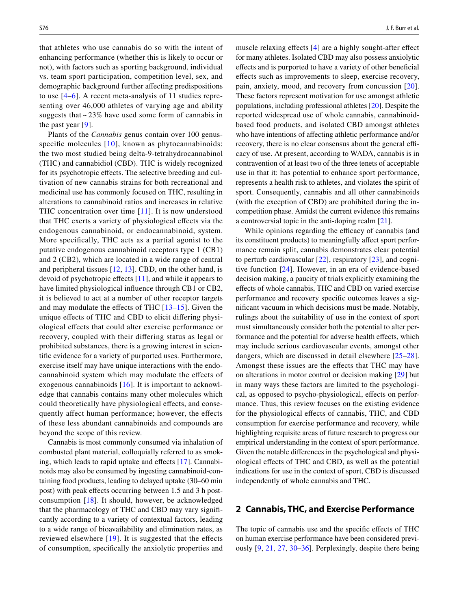that athletes who use cannabis do so with the intent of enhancing performance (whether this is likely to occur or not), with factors such as sporting background, individual vs. team sport participation, competition level, sex, and demographic background further afecting predispositions to use [[4–](#page-8-3)[6](#page-8-6)]. A recent meta-analysis of 11 studies representing over 46,000 athletes of varying age and ability suggests that  $\sim$  23% have used some form of cannabis in the past year [[9\]](#page-8-7).

Plants of the *Cannabis* genus contain over 100 genus-specific molecules [[10\]](#page-8-8), known as phytocannabinoids: the two most studied being delta-9-tetrahydrocannabinol (THC) and cannabidiol (CBD). THC is widely recognized for its psychotropic effects. The selective breeding and cultivation of new cannabis strains for both recreational and medicinal use has commonly focused on THC, resulting in alterations to cannabinoid ratios and increases in relative THC concentration over time [[11\]](#page-9-0). It is now understood that THC exerts a variety of physiological efects via the endogenous cannabinoid, or endocannabinoid, system. More specifcally, THC acts as a partial agonist to the putative endogenous cannabinoid receptors type 1 (CB1) and 2 (CB2), which are located in a wide range of central and peripheral tissues [[12](#page-9-1), [13\]](#page-9-2). CBD, on the other hand, is devoid of psychotropic efects [[11\]](#page-9-0), and while it appears to have limited physiological infuence through CB1 or CB2, it is believed to act at a number of other receptor targets and may modulate the effects of THC  $[13-15]$  $[13-15]$  $[13-15]$ . Given the unique efects of THC and CBD to elicit difering physiological efects that could alter exercise performance or recovery, coupled with their difering status as legal or prohibited substances, there is a growing interest in scientifc evidence for a variety of purported uses. Furthermore, exercise itself may have unique interactions with the endocannabinoid system which may modulate the efects of exogenous cannabinoids [[16](#page-9-4)]. It is important to acknowledge that cannabis contains many other molecules which could theoretically have physiological efects, and consequently afect human performance; however, the efects of these less abundant cannabinoids and compounds are beyond the scope of this review.

Cannabis is most commonly consumed via inhalation of combusted plant material, colloquially referred to as smok-ing, which leads to rapid uptake and effects [\[17](#page-9-5)]. Cannabinoids may also be consumed by ingesting cannabinoid-containing food products, leading to delayed uptake (30–60 min post) with peak efects occurring between 1.5 and 3 h postconsumption [[18](#page-9-6)]. It should, however, be acknowledged that the pharmacology of THC and CBD may vary signifcantly according to a variety of contextual factors, leading to a wide range of bioavailability and elimination rates, as reviewed elsewhere  $[19]$  $[19]$  $[19]$ . It is suggested that the effects of consumption, specifcally the anxiolytic properties and muscle relaxing effects [[4\]](#page-8-3) are a highly sought-after effect for many athletes. Isolated CBD may also possess anxiolytic efects and is purported to have a variety of other benefcial efects such as improvements to sleep, exercise recovery, pain, anxiety, mood, and recovery from concussion [[20](#page-9-8)]. These factors represent motivation for use amongst athletic populations, including professional athletes [[20\]](#page-9-8). Despite the reported widespread use of whole cannabis, cannabinoidbased food products, and isolated CBD amongst athletes who have intentions of afecting athletic performance and/or recovery, there is no clear consensus about the general efficacy of use. At present, according to WADA, cannabis is in contravention of at least two of the three tenets of acceptable use in that it: has potential to enhance sport performance, represents a health risk to athletes, and violates the spirit of sport. Consequently, cannabis and all other cannabinoids (with the exception of CBD) are prohibited during the incompetition phase. Amidst the current evidence this remains a controversial topic in the anti-doping realm [[21\]](#page-9-9).

While opinions regarding the efficacy of cannabis (and its constituent products) to meaningfully affect sport performance remain split, cannabis demonstrates clear potential to perturb cardiovascular [[22\]](#page-9-10), respiratory [\[23\]](#page-9-11), and cognitive function [[24\]](#page-9-12). However, in an era of evidence-based decision making, a paucity of trials explicitly examining the efects of whole cannabis, THC and CBD on varied exercise performance and recovery specifc outcomes leaves a signifcant vacuum in which decisions must be made. Notably, rulings about the suitability of use in the context of sport must simultaneously consider both the potential to alter performance and the potential for adverse health effects, which may include serious cardiovascular events, amongst other dangers, which are discussed in detail elsewhere [[25–](#page-9-13)[28](#page-9-14)]. Amongst these issues are the efects that THC may have on alterations in motor control or decision making [\[29](#page-9-15)] but in many ways these factors are limited to the psychological, as opposed to psycho-physiological, efects on performance. Thus, this review focuses on the existing evidence for the physiological efects of cannabis, THC, and CBD consumption for exercise performance and recovery, while highlighting requisite areas of future research to progress our empirical understanding in the context of sport performance. Given the notable diferences in the psychological and physiological efects of THC and CBD, as well as the potential indications for use in the context of sport, CBD is discussed independently of whole cannabis and THC.

# **2 Cannabis, THC, and Exercise Performance**

The topic of cannabis use and the specifc efects of THC on human exercise performance have been considered previously [\[9](#page-8-7), [21,](#page-9-9) [27](#page-9-16), [30](#page-9-17)[–36](#page-9-18)]. Perplexingly, despite there being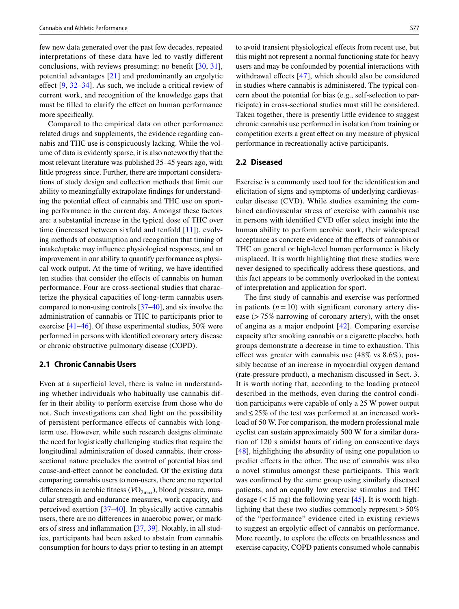few new data generated over the past few decades, repeated interpretations of these data have led to vastly diferent conclusions, with reviews presuming: no beneft [\[30](#page-9-17), [31](#page-9-19)], potential advantages [\[21\]](#page-9-9) and predominantly an ergolytic effect  $[9, 32-34]$  $[9, 32-34]$  $[9, 32-34]$  $[9, 32-34]$  $[9, 32-34]$ . As such, we include a critical review of current work, and recognition of the knowledge gaps that must be flled to clarify the efect on human performance more specifically.

Compared to the empirical data on other performance related drugs and supplements, the evidence regarding cannabis and THC use is conspicuously lacking. While the volume of data is evidently sparse, it is also noteworthy that the most relevant literature was published 35–45 years ago, with little progress since. Further, there are important considerations of study design and collection methods that limit our ability to meaningfully extrapolate fndings for understanding the potential effect of cannabis and THC use on sporting performance in the current day. Amongst these factors are: a substantial increase in the typical dose of THC over time (increased between sixfold and tenfold [[11](#page-9-0)]), evolving methods of consumption and recognition that timing of intake/uptake may infuence physiological responses, and an improvement in our ability to quantify performance as physical work output. At the time of writing, we have identifed ten studies that consider the efects of cannabis on human performance. Four are cross-sectional studies that characterize the physical capacities of long-term cannabis users compared to non-using controls [\[37](#page-9-22)[–40](#page-9-23)], and six involve the administration of cannabis or THC to participants prior to exercise [[41–](#page-9-24)[46](#page-9-25)]. Of these experimental studies, 50% were performed in persons with identifed coronary artery disease or chronic obstructive pulmonary disease (COPD).

# **2.1 Chronic Cannabis Users**

Even at a superficial level, there is value in understanding whether individuals who habitually use cannabis differ in their ability to perform exercise from those who do not. Such investigations can shed light on the possibility of persistent performance efects of cannabis with longterm use. However, while such research designs eliminate the need for logistically challenging studies that require the longitudinal administration of dosed cannabis, their crosssectional nature precludes the control of potential bias and cause-and-efect cannot be concluded. Of the existing data comparing cannabis users to non-users, there are no reported differences in aerobic fitness (*VO*<sub>2max</sub>), blood pressure, muscular strength and endurance measures, work capacity, and perceived exertion [\[37](#page-9-22)–[40\]](#page-9-23). In physically active cannabis users, there are no diferences in anaerobic power, or markers of stress and infammation [[37,](#page-9-22) [39\]](#page-9-26). Notably, in all studies, participants had been asked to abstain from cannabis consumption for hours to days prior to testing in an attempt to avoid transient physiological efects from recent use, but this might not represent a normal functioning state for heavy users and may be confounded by potential interactions with withdrawal effects [[47\]](#page-9-27), which should also be considered in studies where cannabis is administered. The typical concern about the potential for bias (e.g., self-selection to participate) in cross-sectional studies must still be considered. Taken together, there is presently little evidence to suggest chronic cannabis use performed in isolation from training or competition exerts a great efect on any measure of physical performance in recreationally active participants.

#### **2.2 Diseased**

Exercise is a commonly used tool for the identifcation and elicitation of signs and symptoms of underlying cardiovascular disease (CVD). While studies examining the combined cardiovascular stress of exercise with cannabis use in persons with identified CVD offer select insight into the human ability to perform aerobic work, their widespread acceptance as concrete evidence of the efects of cannabis or THC on general or high-level human performance is likely misplaced. It is worth highlighting that these studies were never designed to specifcally address these questions, and this fact appears to be commonly overlooked in the context of interpretation and application for sport.

The frst study of cannabis and exercise was performed in patients  $(n=10)$  with significant coronary artery disease  $($ >75% narrowing of coronary artery), with the onset of angina as a major endpoint [\[42\]](#page-9-28). Comparing exercise capacity after smoking cannabis or a cigarette placebo, both groups demonstrate a decrease in time to exhaustion. This effect was greater with cannabis use  $(48\% \text{ vs } 8.6\%), \text{pos-}$ sibly because of an increase in myocardial oxygen demand (rate-pressure product), a mechanism discussed in Sect. 3. It is worth noting that, according to the loading protocol described in the methods, even during the control condition participants were capable of only a 25 W power output and≤25% of the test was performed at an increased workload of 50 W. For comparison, the modern professional male cyclist can sustain approximately 500 W for a similar duration of 120 s amidst hours of riding on consecutive days [[48\]](#page-9-29), highlighting the absurdity of using one population to predict efects in the other. The use of cannabis was also a novel stimulus amongst these participants. This work was confrmed by the same group using similarly diseased patients, and an equally low exercise stimulus and THC dosage  $(< 15$  mg) the following year [[45\]](#page-9-30). It is worth highlighting that these two studies commonly represent  $>50\%$ of the "performance" evidence cited in existing reviews to suggest an ergolytic efect of cannabis on performance. More recently, to explore the effects on breathlessness and exercise capacity, COPD patients consumed whole cannabis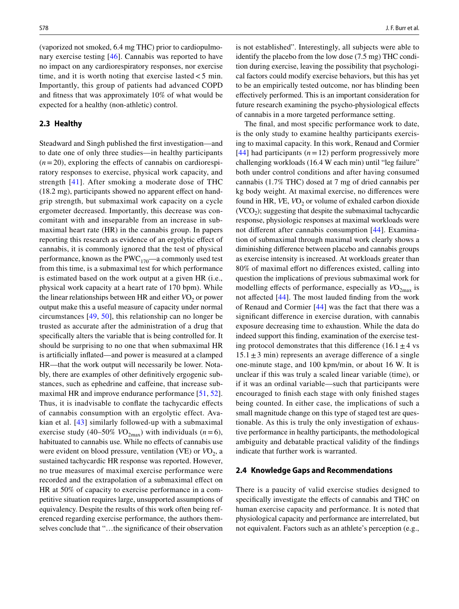(vaporized not smoked, 6.4 mg THC) prior to cardiopulmonary exercise testing [[46](#page-9-25)]. Cannabis was reported to have no impact on any cardiorespiratory responses, nor exercise time, and it is worth noting that exercise lasted  $<$  5 min. Importantly, this group of patients had advanced COPD and ftness that was approximately 10% of what would be expected for a healthy (non-athletic) control.

### **2.3 Healthy**

Steadward and Singh published the frst investigation—and to date one of only three studies—in healthy participants  $(n=20)$ , exploring the effects of cannabis on cardiorespiratory responses to exercise, physical work capacity, and strength [[41\]](#page-9-24). After smoking a moderate dose of THC (18.2 mg), participants showed no apparent effect on handgrip strength, but submaximal work capacity on a cycle ergometer decreased. Importantly, this decrease was concomitant with and inseparable from an increase in submaximal heart rate (HR) in the cannabis group. In papers reporting this research as evidence of an ergolytic efect of cannabis, it is commonly ignored that the test of physical performance, known as the  $PWC_{170}$ —a commonly used test from this time, is a submaximal test for which performance is estimated based on the work output at a given HR (i.e., physical work capacity at a heart rate of 170 bpm). While the linear relationships between HR and either  $VO<sub>2</sub>$  or power output make this a useful measure of capacity under normal circumstances [[49,](#page-9-31) [50\]](#page-9-32), this relationship can no longer be trusted as accurate after the administration of a drug that specifcally alters the variable that is being controlled for. It should be surprising to no one that when submaximal HR is artifcially infated—and power is measured at a clamped HR—that the work output will necessarily be lower. Notably, there are examples of other defnitively ergogenic substances, such as ephedrine and cafeine, that increase submaximal HR and improve endurance performance [\[51](#page-9-33), [52](#page-9-34)]. Thus, it is inadvisable to confate the tachycardic efects of cannabis consumption with an ergolytic effect. Avakian et al. [\[43\]](#page-9-35) similarly followed-up with a submaximal exercise study (40–50%  $VO_{2max}$ ) with individuals (*n*=6), habituated to cannabis use. While no effects of cannabis use were evident on blood pressure, ventilation (VE) or  $VO_2$ , a sustained tachycardic HR response was reported. However, no true measures of maximal exercise performance were recorded and the extrapolation of a submaximal efect on HR at 50% of capacity to exercise performance in a competitive situation requires large, unsupported assumptions of equivalency. Despite the results of this work often being referenced regarding exercise performance, the authors themselves conclude that "…the signifcance of their observation is not established". Interestingly, all subjects were able to identify the placebo from the low dose (7.5 mg) THC condition during exercise, leaving the possibility that psychological factors could modify exercise behaviors, but this has yet to be an empirically tested outcome, nor has blinding been efectively performed. This is an important consideration for future research examining the psycho-physiological efects of cannabis in a more targeted performance setting.

The fnal, and most specifc performance work to date, is the only study to examine healthy participants exercising to maximal capacity. In this work, Renaud and Cormier [[44\]](#page-9-36) had participants  $(n=12)$  perform progressively more challenging workloads (16.4 W each min) until "leg failure" both under control conditions and after having consumed cannabis (1.7% THC) dosed at 7 mg of dried cannabis per kg body weight. At maximal exercise, no diferences were found in HR, *V̇*E, *V̇*O2 or volume of exhaled carbon dioxide  $(VCO<sub>2</sub>)$ ; suggesting that despite the submaximal tachycardic response, physiologic responses at maximal workloads were not diferent after cannabis consumption [\[44\]](#page-9-36). Examination of submaximal through maximal work clearly shows a diminishing diference between placebo and cannabis groups as exercise intensity is increased. At workloads greater than 80% of maximal effort no differences existed, calling into question the implications of previous submaximal work for modelling effects of performance, especially as  $VO_{2\text{max}}$  is not afected [\[44\]](#page-9-36). The most lauded fnding from the work of Renaud and Cormier [\[44\]](#page-9-36) was the fact that there was a signifcant diference in exercise duration, with cannabis exposure decreasing time to exhaustion. While the data do indeed support this fnding, examination of the exercise testing protocol demonstrates that this difference (16.1 $\pm$ 4 vs  $15.1 \pm 3$  min) represents an average difference of a single one-minute stage, and 100 kpm/min, or about 16 W. It is unclear if this was truly a scaled linear variable (time), or if it was an ordinal variable—such that participants were encouraged to fnish each stage with only fnished stages being counted. In either case, the implications of such a small magnitude change on this type of staged test are questionable. As this is truly the only investigation of exhaustive performance in healthy participants, the methodological ambiguity and debatable practical validity of the fndings indicate that further work is warranted.

#### **2.4 Knowledge Gaps and Recommendations**

There is a paucity of valid exercise studies designed to specifcally investigate the efects of cannabis and THC on human exercise capacity and performance. It is noted that physiological capacity and performance are interrelated, but not equivalent. Factors such as an athlete's perception (e.g.,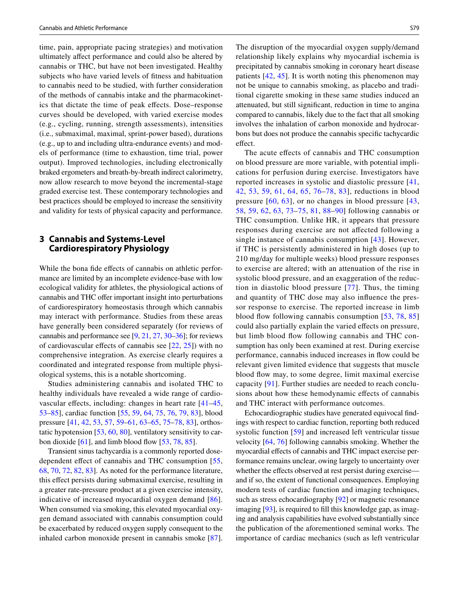time, pain, appropriate pacing strategies) and motivation ultimately afect performance and could also be altered by cannabis or THC, but have not been investigated. Healthy subjects who have varied levels of ftness and habituation to cannabis need to be studied, with further consideration of the methods of cannabis intake and the pharmacokinetics that dictate the time of peak efects. Dose–response curves should be developed, with varied exercise modes (e.g., cycling, running, strength assessments), intensities (i.e., submaximal, maximal, sprint-power based), durations (e.g., up to and including ultra-endurance events) and models of performance (time to exhaustion, time trial, power output). Improved technologies, including electronically braked ergometers and breath-by-breath indirect calorimetry, now allow research to move beyond the incremental-stage graded exercise test. These contemporary technologies and best practices should be employed to increase the sensitivity and validity for tests of physical capacity and performance.

# **3 Cannabis and Systems‑Level Cardiorespiratory Physiology**

While the bona fide effects of cannabis on athletic performance are limited by an incomplete evidence-base with low ecological validity for athletes, the physiological actions of cannabis and THC offer important insight into perturbations of cardiorespiratory homeostasis through which cannabis may interact with performance. Studies from these areas have generally been considered separately (for reviews of cannabis and performance see [\[9](#page-8-7), [21,](#page-9-9) [27](#page-9-16), [30–](#page-9-17)[36\]](#page-9-18); for reviews of cardiovascular effects of cannabis see  $[22, 25]$  $[22, 25]$  $[22, 25]$  $[22, 25]$  $[22, 25]$ ) with no comprehensive integration. As exercise clearly requires a coordinated and integrated response from multiple physiological systems, this is a notable shortcoming.

Studies administering cannabis and isolated THC to healthy individuals have revealed a wide range of cardiovascular effects, including: changes in heart rate  $[41-45,$  $[41-45,$  $[41-45,$ [53](#page-9-37)[–85](#page-10-0)], cardiac function [\[55](#page-9-38), [59,](#page-10-1) [64,](#page-10-2) [75,](#page-10-3) [76](#page-10-4), [79](#page-10-5), [83\]](#page-10-6), blood pressure [[41,](#page-9-24) [42,](#page-9-28) [53,](#page-9-37) [57,](#page-10-7) [59](#page-10-1)[–61](#page-10-8), [63](#page-10-9)[–65](#page-10-10), [75–](#page-10-3)[78,](#page-10-11) [83\]](#page-10-6), orthostatic hypotension [[53,](#page-9-37) [60,](#page-10-12) [80\]](#page-10-13), ventilatory sensitivity to carbon dioxide  $[61]$  $[61]$ , and limb blood flow  $[53, 78, 85]$  $[53, 78, 85]$  $[53, 78, 85]$  $[53, 78, 85]$  $[53, 78, 85]$  $[53, 78, 85]$ .

Transient sinus tachycardia is a commonly reported dose-dependent effect of cannabis and THC consumption [\[55,](#page-9-38) [68](#page-10-14), [70](#page-10-15), [72](#page-10-16), [82](#page-10-17), [83](#page-10-6)]. As noted for the performance literature, this efect persists during submaximal exercise, resulting in a greater rate-pressure product at a given exercise intensity, indicative of increased myocardial oxygen demand [[86](#page-10-18)]. When consumed via smoking, this elevated myocardial oxygen demand associated with cannabis consumption could be exacerbated by reduced oxygen supply consequent to the inhaled carbon monoxide present in cannabis smoke [[87](#page-10-19)].

The disruption of the myocardial oxygen supply/demand relationship likely explains why myocardial ischemia is precipitated by cannabis smoking in coronary heart disease patients [\[42,](#page-9-28) [45](#page-9-30)]. It is worth noting this phenomenon may not be unique to cannabis smoking, as placebo and traditional cigarette smoking in these same studies induced an attenuated, but still signifcant, reduction in time to angina compared to cannabis, likely due to the fact that all smoking involves the inhalation of carbon monoxide and hydrocarbons but does not produce the cannabis specifc tachycardic effect.

The acute efects of cannabis and THC consumption on blood pressure are more variable, with potential implications for perfusion during exercise. Investigators have reported increases in systolic and diastolic pressure [[41,](#page-9-24) [42,](#page-9-28) [53,](#page-9-37) [59](#page-10-1), [61](#page-10-8), [64,](#page-10-2) [65,](#page-10-10) [76–](#page-10-4)[78,](#page-10-11) [83](#page-10-6)], reductions in blood pressure [[60](#page-10-12), [63](#page-10-9)], or no changes in blood pressure [[43,](#page-9-35) [58,](#page-10-20) [59,](#page-10-1) [62](#page-10-21), [63](#page-10-9), [73–](#page-10-22)[75](#page-10-3), [81,](#page-10-23) [88–](#page-10-24)[90\]](#page-10-25) following cannabis or THC consumption. Unlike HR, it appears that pressure responses during exercise are not afected following a single instance of cannabis consumption [[43](#page-9-35)]. However, if THC is persistently administered in high doses (up to 210 mg/day for multiple weeks) blood pressure responses to exercise are altered; with an attenuation of the rise in systolic blood pressure, and an exaggeration of the reduction in diastolic blood pressure [[77](#page-10-26)]. Thus, the timing and quantity of THC dose may also infuence the pressor response to exercise. The reported increase in limb blood flow following cannabis consumption [[53,](#page-9-37) [78,](#page-10-11) [85\]](#page-10-0) could also partially explain the varied efects on pressure, but limb blood fow following cannabis and THC consumption has only been examined at rest. During exercise performance, cannabis induced increases in fow could be relevant given limited evidence that suggests that muscle blood fow may, to some degree, limit maximal exercise capacity [[91](#page-10-27)]. Further studies are needed to reach conclusions about how these hemodynamic efects of cannabis and THC interact with performance outcomes.

Echocardiographic studies have generated equivocal fndings with respect to cardiac function, reporting both reduced systolic function [[59](#page-10-1)] and increased left ventricular tissue velocity [\[64,](#page-10-2) [76\]](#page-10-4) following cannabis smoking. Whether the myocardial effects of cannabis and THC impact exercise performance remains unclear, owing largely to uncertainty over whether the effects observed at rest persist during exerciseand if so, the extent of functional consequences. Employing modern tests of cardiac function and imaging techniques, such as stress echocardiography [[92\]](#page-10-28) or magnetic resonance imaging [\[93](#page-10-29)], is required to fill this knowledge gap, as imaging and analysis capabilities have evolved substantially since the publication of the aforementioned seminal works. The importance of cardiac mechanics (such as left ventricular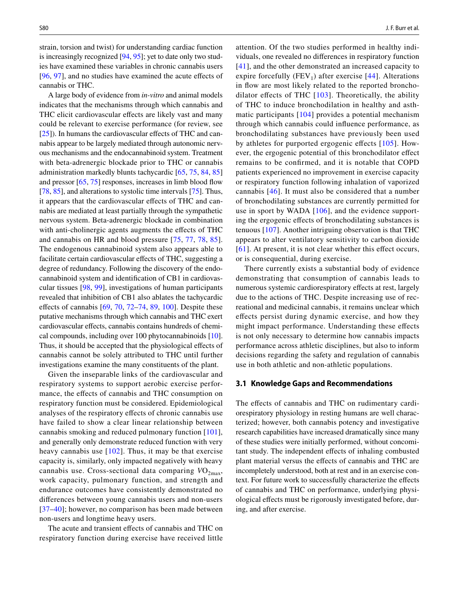strain, torsion and twist) for understanding cardiac function is increasingly recognized [\[94](#page-10-30), [95\]](#page-11-0); yet to date only two studies have examined these variables in chronic cannabis users [\[96,](#page-11-1) [97\]](#page-11-2), and no studies have examined the acute effects of cannabis or THC.

A large body of evidence from *in-vitro* and animal models indicates that the mechanisms through which cannabis and THC elicit cardiovascular efects are likely vast and many could be relevant to exercise performance (for review, see [\[25](#page-9-13)]). In humans the cardiovascular effects of THC and cannabis appear to be largely mediated through autonomic nervous mechanisms and the endocannabinoid system. Treatment with beta-adrenergic blockade prior to THC or cannabis administration markedly blunts tachycardic [[65,](#page-10-10) [75,](#page-10-3) [84,](#page-10-31) [85\]](#page-10-0) and pressor  $[65, 75]$  $[65, 75]$  $[65, 75]$  $[65, 75]$  responses, increases in limb blood flow [\[78](#page-10-11), [85\]](#page-10-0), and alterations to systolic time intervals [[75\]](#page-10-3). Thus, it appears that the cardiovascular efects of THC and cannabis are mediated at least partially through the sympathetic nervous system. Beta-adrenergic blockade in combination with anti-cholinergic agents augments the effects of THC and cannabis on HR and blood pressure [[75](#page-10-3), [77](#page-10-26), [78](#page-10-11), [85](#page-10-0)]. The endogenous cannabinoid system also appears able to facilitate certain cardiovascular effects of THC, suggesting a degree of redundancy. Following the discovery of the endocannabinoid system and identifcation of CB1 in cardiovascular tissues [\[98](#page-11-3), [99\]](#page-11-4), investigations of human participants revealed that inhibition of CB1 also ablates the tachycardic effects of cannabis  $[69, 70, 72-74, 89, 100]$  $[69, 70, 72-74, 89, 100]$  $[69, 70, 72-74, 89, 100]$  $[69, 70, 72-74, 89, 100]$  $[69, 70, 72-74, 89, 100]$  $[69, 70, 72-74, 89, 100]$  $[69, 70, 72-74, 89, 100]$  $[69, 70, 72-74, 89, 100]$  $[69, 70, 72-74, 89, 100]$ . Despite these putative mechanisms through which cannabis and THC exert cardiovascular effects, cannabis contains hundreds of chemical compounds, including over 100 phytocannabinoids [\[10](#page-8-8)]. Thus, it should be accepted that the physiological effects of cannabis cannot be solely attributed to THC until further investigations examine the many constituents of the plant.

Given the inseparable links of the cardiovascular and respiratory systems to support aerobic exercise performance, the efects of cannabis and THC consumption on respiratory function must be considered. Epidemiological analyses of the respiratory efects of chronic cannabis use have failed to show a clear linear relationship between cannabis smoking and reduced pulmonary function [[101](#page-11-6)], and generally only demonstrate reduced function with very heavy cannabis use  $[102]$  $[102]$  $[102]$ . Thus, it may be that exercise capacity is, similarly, only impacted negatively with heavy cannabis use. Cross-sectional data comparing  $VO_{2max}$ , work capacity, pulmonary function, and strength and endurance outcomes have consistently demonstrated no diferences between young cannabis users and non-users [[37–](#page-9-22)[40](#page-9-23)]; however, no comparison has been made between non-users and longtime heavy users.

The acute and transient efects of cannabis and THC on respiratory function during exercise have received little attention. Of the two studies performed in healthy individuals, one revealed no diferences in respiratory function [[41](#page-9-24)], and the other demonstrated an increased capacity to expire forcefully (FEV<sub>1</sub>) after exercise [\[44\]](#page-9-36). Alterations in flow are most likely related to the reported bronchodilator effects of THC  $[103]$  $[103]$ . Theoretically, the ability of THC to induce bronchodilation in healthy and asthmatic participants [\[104](#page-11-9)] provides a potential mechanism through which cannabis could infuence performance, as bronchodilating substances have previously been used by athletes for purported ergogenic efects [[105\]](#page-11-10). However, the ergogenic potential of this bronchodilator efect remains to be confrmed, and it is notable that COPD patients experienced no improvement in exercise capacity or respiratory function following inhalation of vaporized cannabis [[46](#page-9-25)]. It must also be considered that a number of bronchodilating substances are currently permitted for use in sport by WADA [\[106](#page-11-11)], and the evidence supporting the ergogenic efects of bronchodilating substances is tenuous [[107](#page-11-12)]. Another intriguing observation is that THC appears to alter ventilatory sensitivity to carbon dioxide [[61](#page-10-8)]. At present, it is not clear whether this effect occurs, or is consequential, during exercise.

There currently exists a substantial body of evidence demonstrating that consumption of cannabis leads to numerous systemic cardiorespiratory efects at rest, largely due to the actions of THC. Despite increasing use of recreational and medicinal cannabis, it remains unclear which efects persist during dynamic exercise, and how they might impact performance. Understanding these efects is not only necessary to determine how cannabis impacts performance across athletic disciplines, but also to inform decisions regarding the safety and regulation of cannabis use in both athletic and non-athletic populations.

#### **3.1 Knowledge Gaps and Recommendations**

The effects of cannabis and THC on rudimentary cardiorespiratory physiology in resting humans are well characterized; however, both cannabis potency and investigative research capabilities have increased dramatically since many of these studies were initially performed, without concomitant study. The independent efects of inhaling combusted plant material versus the efects of cannabis and THC are incompletely understood, both at rest and in an exercise context. For future work to successfully characterize the efects of cannabis and THC on performance, underlying physiological efects must be rigorously investigated before, during, and after exercise.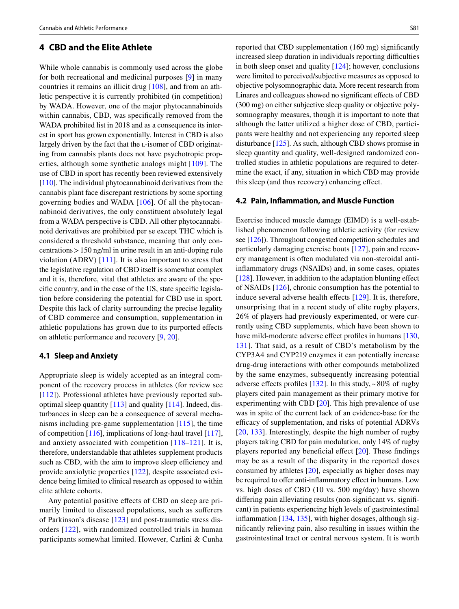### **4 CBD and the Elite Athlete**

While whole cannabis is commonly used across the globe for both recreational and medicinal purposes [[9](#page-8-7)] in many countries it remains an illicit drug [[108\]](#page-11-13), and from an athletic perspective it is currently prohibited (in competition) by WADA. However, one of the major phytocannabinoids within cannabis, CBD, was specifcally removed from the WADA prohibited list in 2018 and as a consequence its interest in sport has grown exponentially. Interest in CBD is also largely driven by the fact that the L-isomer of CBD originating from cannabis plants does not have psychotropic properties, although some synthetic analogs might [[109](#page-11-14)]. The use of CBD in sport has recently been reviewed extensively [\[110](#page-11-15)]. The individual phytocannabinoid derivatives from the cannabis plant face discrepant restrictions by some sporting governing bodies and WADA [\[106\]](#page-11-11). Of all the phytocannabinoid derivatives, the only constituent absolutely legal from a WADA perspective is CBD. All other phytocannabinoid derivatives are prohibited per se except THC which is considered a threshold substance, meaning that only concentrations>150 ng/ml in urine result in an anti-doping rule violation (ADRV) [[111](#page-11-16)]. It is also important to stress that the legislative regulation of CBD itself is somewhat complex and it is, therefore, vital that athletes are aware of the specifc country, and in the case of the US, state specifc legislation before considering the potential for CBD use in sport. Despite this lack of clarity surrounding the precise legality of CBD commerce and consumption, supplementation in athletic populations has grown due to its purported efects on athletic performance and recovery [\[9](#page-8-7), [20](#page-9-8)].

#### **4.1 Sleep and Anxiety**

Appropriate sleep is widely accepted as an integral component of the recovery process in athletes (for review see [\[112\]](#page-11-17)). Professional athletes have previously reported suboptimal sleep quantity [\[113\]](#page-11-18) and quality [\[114](#page-11-19)]. Indeed, disturbances in sleep can be a consequence of several mechanisms including pre-game supplementation [\[115](#page-11-20)], the time of competition [[116\]](#page-11-21), implications of long-haul travel [\[117](#page-11-22)], and anxiety associated with competition [\[118–](#page-11-23)[121](#page-11-24)]. It is, therefore, understandable that athletes supplement products such as CBD, with the aim to improve sleep efficiency and provide anxiolytic properties [\[122](#page-11-25)], despite associated evidence being limited to clinical research as opposed to within elite athlete cohorts.

Any potential positive efects of CBD on sleep are primarily limited to diseased populations, such as suferers of Parkinson's disease [[123](#page-11-26)] and post-traumatic stress disorders [\[122\]](#page-11-25), with randomized controlled trials in human participants somewhat limited. However, Carlini & Cunha reported that CBD supplementation (160 mg) signifcantly increased sleep duration in individuals reporting difficulties in both sleep onset and quality [\[124](#page-11-27)]; however, conclusions were limited to perceived/subjective measures as opposed to objective polysomnographic data. More recent research from Linares and colleagues showed no signifcant efects of CBD (300 mg) on either subjective sleep quality or objective polysomnography measures, though it is important to note that although the latter utilized a higher dose of CBD, participants were healthy and not experiencing any reported sleep disturbance [\[125](#page-11-28)]. As such, although CBD shows promise in sleep quantity and quality, well-designed randomized controlled studies in athletic populations are required to determine the exact, if any, situation in which CBD may provide this sleep (and thus recovery) enhancing efect.

### **4.2 Pain, Infammation, and Muscle Function**

Exercise induced muscle damage (EIMD) is a well-established phenomenon following athletic activity (for review see [\[126](#page-11-29)]). Throughout congested competition schedules and particularly damaging exercise bouts [\[127](#page-11-30)], pain and recovery management is often modulated via non-steroidal antiinfammatory drugs (NSAIDs) and, in some cases, opiates [\[128](#page-11-31)]. However, in addition to the adaptation blunting efect of NSAIDs [\[126](#page-11-29)], chronic consumption has the potential to induce several adverse health effects  $[129]$ . It is, therefore, unsurprising that in a recent study of elite rugby players, 26% of players had previously experimented, or were currently using CBD supplements, which have been shown to have mild-moderate adverse effect profiles in humans [[130,](#page-11-33) [131\]](#page-11-34). That said, as a result of CBD's metabolism by the CYP3A4 and CYP219 enzymes it can potentially increase drug-drug interactions with other compounds metabolized by the same enzymes, subsequently increasing potential adverse effects profiles [[132](#page-11-35)]. In this study,  $\sim 80\%$  of rugby players cited pain management as their primary motive for experimenting with CBD [\[20](#page-9-8)]. This high prevalence of use was in spite of the current lack of an evidence-base for the efficacy of supplementation, and risks of potential ADRVs [[20,](#page-9-8) [133\]](#page-12-0). Interestingly, despite the high number of rugby players taking CBD for pain modulation, only 14% of rugby players reported any beneficial effect  $[20]$  $[20]$  $[20]$ . These findings may be as a result of the disparity in the reported doses consumed by athletes [[20](#page-9-8)], especially as higher doses may be required to offer anti-inflammatory effect in humans. Low vs. high doses of CBD (10 vs. 500 mg/day) have shown difering pain alleviating results (non-signifcant vs. signifcant) in patients experiencing high levels of gastrointestinal infammation [\[134](#page-12-1), [135\]](#page-12-2), with higher dosages, although signifcantly relieving pain, also resulting in issues within the gastrointestinal tract or central nervous system. It is worth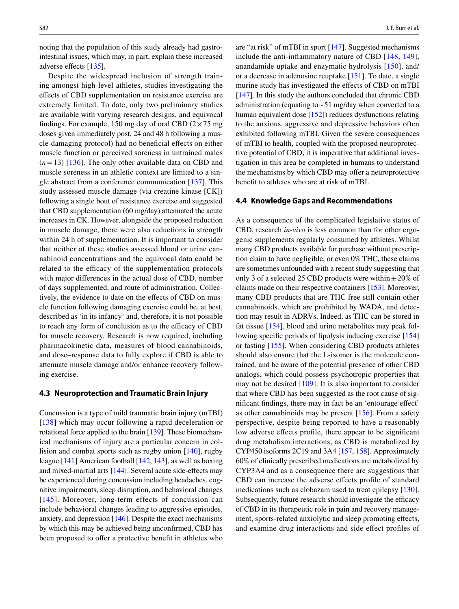noting that the population of this study already had gastrointestinal issues, which may, in part, explain these increased adverse efects [\[135](#page-12-2)].

Despite the widespread inclusion of strength training amongst high-level athletes, studies investigating the efects of CBD supplementation on resistance exercise are extremely limited. To date, only two preliminary studies are available with varying research designs, and equivocal findings. For example, 150 mg day of oral CBD  $(2 \times 75 \text{ mg})$ doses given immediately post, 24 and 48 h following a muscle-damaging protocol) had no benefcial efects on either muscle function or perceived soreness in untrained males (*n*=13) [\[136\]](#page-12-3). The only other available data on CBD and muscle soreness in an athletic context are limited to a single abstract from a conference communication [\[137](#page-12-4)]. This study assessed muscle damage (via creatine kinase [CK]) following a single bout of resistance exercise and suggested that CBD supplementation (60 mg/day) attenuated the acute increases in CK. However, alongside the proposed reduction in muscle damage, there were also reductions in strength within 24 h of supplementation. It is important to consider that neither of these studies assessed blood or urine cannabinoid concentrations and the equivocal data could be related to the efficacy of the supplementation protocols with major diferences in the actual dose of CBD, number of days supplemented, and route of administration. Collectively, the evidence to date on the effects of CBD on muscle function following damaging exercise could be, at best, described as 'in its infancy' and, therefore, it is not possible to reach any form of conclusion as to the efficacy of CBD for muscle recovery. Research is now required, including pharmacokinetic data, measures of blood cannabinoids, and dose–response data to fully explore if CBD is able to attenuate muscle damage and/or enhance recovery following exercise.

#### **4.3 Neuroprotection and Traumatic Brain Injury**

Concussion is a type of mild traumatic brain injury (mTBI) [[138](#page-12-5)] which may occur following a rapid deceleration or rotational force applied to the brain [\[139\]](#page-12-6). These biomechanical mechanisms of injury are a particular concern in collision and combat sports such as rugby union [[140\]](#page-12-7), rugby league [\[141](#page-12-8)] American football [[142,](#page-12-9) [143](#page-12-10)], as well as boxing and mixed-martial arts [[144\]](#page-12-11). Several acute side-efects may be experienced during concussion including headaches, cognitive impairments, sleep disruption, and behavioral changes [[145\]](#page-12-12). Moreover, long-term effects of concussion can include behavioral changes leading to aggressive episodes, anxiety, and depression [\[146](#page-12-13)]. Despite the exact mechanisms by which this may be achieved being unconfrmed, CBD has been proposed to offer a protective benefit in athletes who are "at risk" of mTBI in sport [[147\]](#page-12-14). Suggested mechanisms include the anti-infammatory nature of CBD [[148,](#page-12-15) [149](#page-12-16)], anandamide uptake and enzymatic hydrolysis [[150](#page-12-17)], and/ or a decrease in adenosine reuptake [[151\]](#page-12-18). To date, a single murine study has investigated the efects of CBD on mTBI [\[147\]](#page-12-14). In this study the authors concluded that chronic CBD administration (equating to  $\sim$  51 mg/day when converted to a human equivalent dose [\[152](#page-12-19)]) reduces dysfunctions relating to the anxious, aggressive and depressive behaviors often exhibited following mTBI. Given the severe consequences of mTBI to health, coupled with the proposed neuroprotective potential of CBD, it is imperative that additional investigation in this area be completed in humans to understand the mechanisms by which CBD may offer a neuroprotective beneft to athletes who are at risk of mTBI.

### **4.4 Knowledge Gaps and Recommendations**

As a consequence of the complicated legislative status of CBD, research *in-vivo* is less common than for other ergogenic supplements regularly consumed by athletes. Whilst many CBD products available for purchase without prescription claim to have negligible, or even 0% THC, these claims are sometimes unfounded with a recent study suggesting that only 3 of a selected 25 CBD products were within  $\pm$  20% of claims made on their respective containers [\[153](#page-12-20)]. Moreover, many CBD products that are THC free still contain other cannabinoids, which are prohibited by WADA, and detection may result in ADRVs. Indeed, as THC can be stored in fat tissue [\[154\]](#page-12-21), blood and urine metabolites may peak following specifc periods of lipolysis inducing exercise [[154\]](#page-12-21) or fasting [[155](#page-12-22)]. When considering CBD products athletes should also ensure that the L-isomer is the molecule contained, and be aware of the potential presence of other CBD analogs, which could possess psychotropic properties that may not be desired [[109\]](#page-11-14). It is also important to consider that where CBD has been suggested as the root cause of signifcant fndings, there may in fact be an 'entourage efect' as other cannabinoids may be present [[156\]](#page-12-23). From a safety perspective, despite being reported to have a reasonably low adverse efects profle, there appear to be signifcant drug metabolism interactions, as CBD is metabolized by CYP450 isoforms 2C19 and 3A4 [\[157](#page-12-24), [158\]](#page-12-25). Approximately 60% of clinically prescribed medications are metabolized by CYP3A4 and as a consequence there are suggestions that CBD can increase the adverse efects profle of standard medications such as clobazam used to treat epilepsy [\[130](#page-11-33)]. Subsequently, future research should investigate the efficacy of CBD in its therapeutic role in pain and recovery management, sports-related anxiolytic and sleep promoting effects, and examine drug interactions and side efect profles of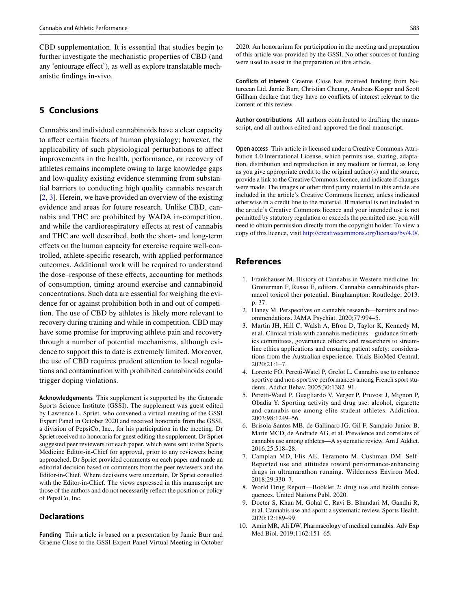CBD supplementation. It is essential that studies begin to further investigate the mechanistic properties of CBD (and any 'entourage effect'), as well as explore translatable mechanistic fndings in-vivo.

# **5 Conclusions**

Cannabis and individual cannabinoids have a clear capacity to affect certain facets of human physiology; however, the applicability of such physiological perturbations to afect improvements in the health, performance, or recovery of athletes remains incomplete owing to large knowledge gaps and low-quality existing evidence stemming from substantial barriers to conducting high quality cannabis research [\[2](#page-8-1), [3](#page-8-2)]. Herein, we have provided an overview of the existing evidence and areas for future research. Unlike CBD, cannabis and THC are prohibited by WADA in-competition, and while the cardiorespiratory efects at rest of cannabis and THC are well described, both the short- and long-term efects on the human capacity for exercise require well-controlled, athlete-specifc research, with applied performance outcomes. Additional work will be required to understand the dose–response of these efects, accounting for methods of consumption, timing around exercise and cannabinoid concentrations. Such data are essential for weighing the evidence for or against prohibition both in and out of competition. The use of CBD by athletes is likely more relevant to recovery during training and while in competition. CBD may have some promise for improving athlete pain and recovery through a number of potential mechanisms, although evidence to support this to date is extremely limited. Moreover, the use of CBD requires prudent attention to local regulations and contamination with prohibited cannabinoids could trigger doping violations.

**Acknowledgements** This supplement is supported by the Gatorade Sports Science Institute (GSSI). The supplement was guest edited by Lawrence L. Spriet, who convened a virtual meeting of the GSSI Expert Panel in October 2020 and received honoraria from the GSSI, a division of PepsiCo, Inc., for his participation in the meeting. Dr Spriet received no honoraria for guest editing the supplement. Dr Spriet suggested peer reviewers for each paper, which were sent to the Sports Medicine Editor-in-Chief for approval, prior to any reviewers being approached. Dr Spriet provided comments on each paper and made an editorial decision based on comments from the peer reviewers and the Editor-in-Chief. Where decisions were uncertain, Dr Spriet consulted with the Editor-in-Chief. The views expressed in this manuscript are those of the authors and do not necessarily refect the position or policy of PepsiCo, Inc.

### **Declarations**

**Funding** This article is based on a presentation by Jamie Burr and Graeme Close to the GSSI Expert Panel Virtual Meeting in October 2020. An honorarium for participation in the meeting and preparation of this article was provided by the GSSI. No other sources of funding were used to assist in the preparation of this article.

**Conflicts of interest** Graeme Close has received funding from Naturecan Ltd. Jamie Burr, Christian Cheung, Andreas Kasper and Scott Gillham declare that they have no conficts of interest relevant to the content of this review.

**Author contributions** All authors contributed to drafting the manuscript, and all authors edited and approved the fnal manuscript.

**Open access** This article is licensed under a Creative Commons Attribution 4.0 International License, which permits use, sharing, adaptation, distribution and reproduction in any medium or format, as long as you give appropriate credit to the original author(s) and the source, provide a link to the Creative Commons licence, and indicate if changes were made. The images or other third party material in this article are included in the article's Creative Commons licence, unless indicated otherwise in a credit line to the material. If material is not included in the article's Creative Commons licence and your intended use is not permitted by statutory regulation or exceeds the permitted use, you will need to obtain permission directly from the copyright holder. To view a copy of this licence, visit<http://creativecommons.org/licenses/by/4.0/>.

# **References**

- <span id="page-8-0"></span>1. Frankhauser M. History of Cannabis in Western medicine. In: Grotterman F, Russo E, editors. Cannabis cannabinoids pharmacol toxicol ther potential. Binghampton: Routledge; 2013. p. 37.
- <span id="page-8-1"></span>2. Haney M. Perspectives on cannabis research—barriers and recommendations. JAMA Psychiat. 2020;77:994–5.
- <span id="page-8-2"></span>3. Martin JH, Hill C, Walsh A, Efron D, Taylor K, Kennedy M, et al. Clinical trials with cannabis medicines—guidance for ethics committees, governance officers and researchers to streamline ethics applications and ensuring patient safety: considerations from the Australian experience. Trials BioMed Central. 2020;21:1–7.
- <span id="page-8-3"></span>4. Lorente FO, Peretti-Watel P, Grelot L. Cannabis use to enhance sportive and non-sportive performances among French sport students. Addict Behav. 2005;30:1382–91.
- 5. Peretti-Watel P, Guagliardo V, Verger P, Pruvost J, Mignon P, Obadia Y. Sporting activity and drug use: alcohol, cigarette and cannabis use among elite student athletes. Addiction. 2003;98:1249–56.
- <span id="page-8-6"></span>6. Brisola-Santos MB, de Gallinaro JG, Gil F, Sampaio-Junior B, Marin MCD, de Andrade AG, et al. Prevalence and correlates of cannabis use among athletes—A systematic review. Am J Addict. 2016;25:518–28.
- <span id="page-8-4"></span>7. Campian MD, Flis AE, Teramoto M, Cushman DM. Self-Reported use and attitudes toward performance-enhancing drugs in ultramarathon running. Wilderness Environ Med. 2018;29:330–7.
- <span id="page-8-5"></span>8. World Drug Report—Booklet 2: drug use and health consequences. United Nations Publ. 2020.
- <span id="page-8-7"></span>9. Docter S, Khan M, Gohal C, Ravi B, Bhandari M, Gandhi R, et al. Cannabis use and sport: a systematic review. Sports Health. 2020;12:189–99.
- <span id="page-8-8"></span>10. Amin MR, Ali DW. Pharmacology of medical cannabis. Adv Exp Med Biol. 2019;1162:151–65.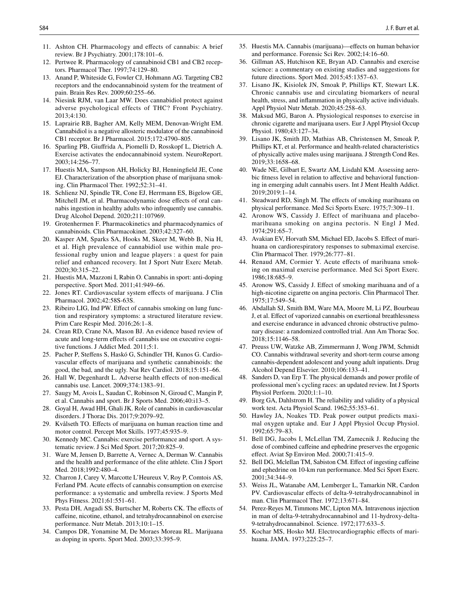- <span id="page-9-0"></span>11. Ashton CH. Pharmacology and efects of cannabis: A brief review. Br J Psychiatry. 2001;178:101–6.
- <span id="page-9-1"></span>12. Pertwee R. Pharmacology of cannabinoid CB1 and CB2 receptors. Pharmacol Ther. 1997;74:129–80.
- <span id="page-9-2"></span>13. Anand P, Whiteside G, Fowler CJ, Hohmann AG. Targeting CB2 receptors and the endocannabinoid system for the treatment of pain. Brain Res Rev. 2009;60:255–66.
- 14. Niesink RJM, van Laar MW. Does cannabidiol protect against adverse psychological effects of THC? Front Psychiatry. 2013;4:130.
- <span id="page-9-3"></span>15. Laprairie RB, Bagher AM, Kelly MEM, Denovan-Wright EM. Cannabidiol is a negative allosteric modulator of the cannabinoid CB1 receptor. Br J Pharmacol. 2015;172:4790–805.
- <span id="page-9-4"></span>16. Sparling PB, Giufrida A, Piomelli D, Rosskopf L, Dietrich A. Exercise activates the endocannabinoid system. NeuroReport. 2003;14:256–77.
- <span id="page-9-5"></span>17. Huestis MA, Sampson AH, Holicky BJ, Henningfeld JE, Cone EJ. Characterization of the absorption phase of marijuana smoking. Clin Pharmacol Ther. 1992;52:31–41.
- <span id="page-9-6"></span>18. Schlienz NJ, Spindle TR, Cone EJ, Herrmann ES, Bigelow GE, Mitchell JM, et al. Pharmacodynamic dose efects of oral cannabis ingestion in healthy adults who infrequently use cannabis. Drug Alcohol Depend. 2020;211:107969.
- <span id="page-9-7"></span>19. Grotenhermen F. Pharmacokinetics and pharmacodynamics of cannabinoids. Clin Pharmacokinet. 2003;42:327–60.
- <span id="page-9-8"></span>20. Kasper AM, Sparks SA, Hooks M, Skeer M, Webb B, Nia H, et al. High prevalence of cannabidiol use within male professional rugby union and league players : a quest for pain relief and enhanced recovery. Int J Sport Nutr Exerc Metab. 2020;30:315–22.
- <span id="page-9-9"></span>21. Huestis MA, Mazzoni I, Rabin O. Cannabis in sport: anti-doping perspective. Sport Med. 2011;41:949–66.
- <span id="page-9-10"></span>22. Jones RT. Cardiovascular system efects of marijuana. J Clin Pharmacol. 2002;42:58S-63S.
- <span id="page-9-11"></span>23. Ribeiro LIG, Ind PW. Efect of cannabis smoking on lung function and respiratory symptoms: a structured literature review. Prim Care Respir Med. 2016;26:1–8.
- <span id="page-9-12"></span>24. Crean RD, Crane NA, Mason BJ. An evidence based review of acute and long-term efects of cannabis use on executive cognitive functions. J Addict Med. 2011;5:1.
- <span id="page-9-13"></span>25. Pacher P, Stefens S, Haskó G, Schindler TH, Kunos G. Cardiovascular efects of marijuana and synthetic cannabinoids: the good, the bad, and the ugly. Nat Rev Cardiol. 2018;15:151–66.
- 26. Hall W, Degenhardt L. Adverse health effects of non-medical cannabis use. Lancet. 2009;374:1383–91.
- <span id="page-9-16"></span>27. Saugy M, Avois L, Saudan C, Robinson N, Giroud C, Mangin P, et al. Cannabis and sport. Br J Sports Med. 2006;40:i13–5.
- <span id="page-9-14"></span>28. Goyal H, Awad HH, Ghali JK. Role of cannabis in cardiovascular disorders. J Thorac Dis. 2017;9:2079–92.
- <span id="page-9-15"></span>29. Kvålseth TO. Efects of marijuana on human reaction time and motor control. Percept Mot Skills. 1977;45:935–9.
- <span id="page-9-17"></span>30. Kennedy MC. Cannabis: exercise performance and sport. A systematic review. J Sci Med Sport. 2017;20:825–9.
- <span id="page-9-19"></span>31. Ware M, Jensen D, Barrette A, Vernec A, Derman W. Cannabis and the health and performance of the elite athlete. Clin J Sport Med. 2018;1992:480–4.
- <span id="page-9-20"></span>32. Charron J, Carey V, Marcotte L'Heureux V, Roy P, Comtois AS, Ferland PM. Acute effects of cannabis consumption on exercise performance: a systematic and umbrella review. J Sports Med Phys Fitness. 2021;61:551–61.
- 33. Pesta DH, Angadi SS, Burtscher M, Roberts CK. The efects of caffeine, nicotine, ethanol, and tetrahydrocannabinol on exercise performance. Nutr Metab. 2013;10:1–15.
- <span id="page-9-21"></span>34. Campos DR, Yonamine M, De Moraes Moreau RL. Marijuana as doping in sports. Sport Med. 2003;33:395–9.
- 35. Huestis MA. Cannabis (marijuana)—efects on human behavior and performance. Forensic Sci Rev. 2002;14:16–60.
- <span id="page-9-18"></span>36. Gillman AS, Hutchison KE, Bryan AD. Cannabis and exercise science: a commentary on existing studies and suggestions for future directions. Sport Med. 2015;45:1357–63.
- <span id="page-9-22"></span>37. Lisano JK, Kisiolek JN, Smoak P, Phillips KT, Stewart LK. Chronic cannabis use and circulating biomarkers of neural health, stress, and infammation in physically active individuals. Appl Physiol Nutr Metab. 2020;45:258–63.
- 38. Maksud MG, Baron A. Physiological responses to exercise in chronic cigarette and marijuana users. Eur J Appl Physiol Occup Physiol. 1980;43:127–34.
- <span id="page-9-26"></span>39. Lisano JK, Smith JD, Mathias AB, Christensen M, Smoak P, Phillips KT, et al. Performance and health-related characteristics of physically active males using marijuana. J Strength Cond Res. 2019;33:1658–68.
- <span id="page-9-23"></span>40. Wade NE, Gilbart E, Swartz AM, Lisdahl KM. Assessing aerobic ftness level in relation to afective and behavioral functioning in emerging adult cannabis users. Int J Ment Health Addict. 2019;2019:1–14.
- <span id="page-9-24"></span>41. Steadward RD, Singh M. The efects of smoking marihuana on physical performance. Med Sci Sports Exerc. 1975;7:309–11.
- <span id="page-9-28"></span>42. Aronow WS, Cassidy J. Effect of marihuana and placebomarihuana smoking on angina pectoris. N Engl J Med. 1974;291:65–7.
- <span id="page-9-35"></span>43. Avakian EV, Horvath SM, Michael ED, Jacobs S. Efect of marihuana on cardiorespiratory responses to submaximal exercise. Clin Pharmacol Ther. 1979;26:777–81.
- <span id="page-9-36"></span>44. Renaud AM, Cormier Y. Acute efects of marihuana smoking on maximal exercise performance. Med Sci Sport Exerc. 1986;18:685–9.
- <span id="page-9-30"></span>45. Aronow WS, Cassidy J. Efect of smoking marihuana and of a high-nicotine cigarette on angina pectoris. Clin Pharmacol Ther. 1975;17:549–54.
- <span id="page-9-25"></span>46. Abdallah SJ, Smith BM, Ware MA, Moore M, Li PZ, Bourbeau J, et al. Efect of vaporized cannabis on exertional breathlessness and exercise endurance in advanced chronic obstructive pulmonary disease: a randomized controlled trial. Ann Am Thorac Soc. 2018;15:1146–58.
- <span id="page-9-27"></span>47. Preuss UW, Watzke AB, Zimmermann J, Wong JWM, Schmidt CO. Cannabis withdrawal severity and short-term course among cannabis-dependent adolescent and young adult inpatients. Drug Alcohol Depend Elsevier. 2010;106:133–41.
- <span id="page-9-29"></span>48. Sanders D, van Erp T. The physical demands and power profle of professional men's cycling races: an updated review. Int J Sports Physiol Perform. 2020;1:1–10.
- <span id="page-9-31"></span>49. Borg GA, Dahlstrom H. The reliability and validity of a physical work test. Acta Physiol Scand. 1962;55:353–61.
- <span id="page-9-32"></span>50. Hawley JA, Noakes TD. Peak power output predicts maximal oxygen uptake and. Eur J Appl Physiol Occup Physiol. 1992;65:79–83.
- <span id="page-9-33"></span>51. Bell DG, Jacobs I, McLellan TM, Zamecnik J. Reducing the dose of combined cafeine and ephedrine preserves the ergogenic effect. Aviat Sp Environ Med. 2000;71:415-9.
- <span id="page-9-34"></span>52. Bell DG, Mclellan TM, Sabiston CM. Efect of ingesting cafeine and ephedrine on 10-km run performance. Med Sci Sport Exerc. 2001;34:344–9.
- <span id="page-9-37"></span>53. Weiss JL, Watanabe AM, Lemberger L, Tamarkin NR, Cardon PV. Cardiovascular efects of delta-9-tetrahydrocannabinol in man. Clin Pharmacol Ther. 1972;13:671–84.
- 54. Perez-Reyes M, Timmons MC, Lipton MA. Intravenous injection in man of delta-9-tetrahydrocannabinol and 11-hydroxy-delta-9-tetrahydrocannabinol. Science. 1972;177:633–5.
- <span id="page-9-38"></span>Kochar MS, Hosko MJ. Electrocardiographic effects of marihuana. JAMA. 1973;225:25–7.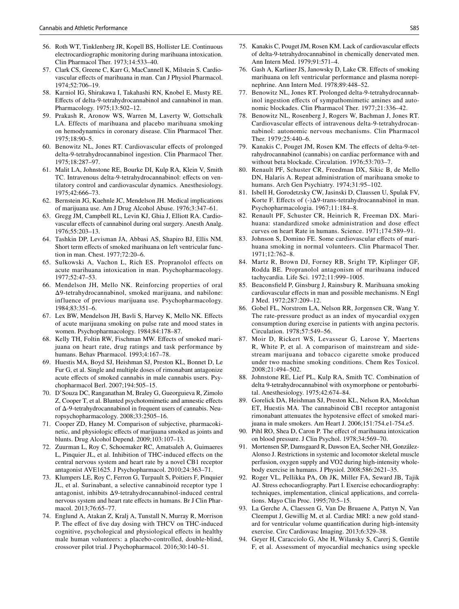- 56. Roth WT, Tinklenberg JR, Kopell BS, Hollister LE. Continuous electrocardiographic monitoring during marihuana intoxication. Clin Pharmacol Ther. 1973;14:533–40.
- <span id="page-10-7"></span>57. Clark CS, Greene C, Karr G, MacCannell K, Milstein S. Cardiovascular efects of marihuana in man. Can J Physiol Pharmacol. 1974;52:706–19.
- <span id="page-10-20"></span>58. Karniol IG, Shirakawa I, Takahashi RN, Knobel E, Musty RE. Efects of delta-9-tetrahydrocannabinol and cannabinol in man. Pharmacology. 1975;13:502–12.
- <span id="page-10-1"></span>59. Prakash R, Aronow WS, Warren M, Laverty W, Gottschalk LA. Effects of marihuana and placebo marihuana smoking on hemodynamics in coronary disease. Clin Pharmacol Ther. 1975;18:90–5.
- <span id="page-10-12"></span>60. Benowitz NL, Jones RT. Cardiovascular efects of prolonged delta-9-tetrahydrocannabinol ingestion. Clin Pharmacol Ther. 1975;18:287–97.
- <span id="page-10-8"></span>61. Malit LA, Johnstone RE, Bourke DI, Kulp RA, Klein V, Smith TC. Intravenous delta-9-tetrahydrocannabinol: effects on ventilatory control and cardiovascular dynamics. Anesthesiology. 1975;42:666–73.
- <span id="page-10-21"></span>62. Bernstein JG, Kuehnle JC, Mendelson JH. Medical implications of marijuana use. Am J Drug Alcohol Abuse. 1976;3:347–61.
- <span id="page-10-9"></span>63. Gregg JM, Campbell RL, Levin KJ, Ghia J, Elliott RA. Cardiovascular efects of cannabinol during oral surgery. Anesth Analg. 1976;55:203–13.
- <span id="page-10-2"></span>64. Tashkin DP, Levisman JA, Abbasi AS, Shapiro BJ, Ellis NM. Short term effects of smoked marihuana on left ventricular function in man. Chest. 1977;72:20–6.
- <span id="page-10-10"></span>65. Sulkowski A, Vachon L, Rich ES. Propranolol effects on acute marihuana intoxication in man. Psychopharmacology. 1977;52:47–53.
- 66. Mendelson JH, Mello NK. Reinforcing properties of oral Δ9-tetrahydrocannabinol, smoked marijuana, and nabilone: influence of previous marijuana use. Psychopharmacology. 1984;83:351–6.
- 67. Lex BW, Mendelson JH, Bavli S, Harvey K, Mello NK. Efects of acute marijuana smoking on pulse rate and mood states in women. Psychopharmacology. 1984;84:178–87.
- <span id="page-10-14"></span>68. Kelly TH, Foltin RW, Fischman MW. Efects of smoked marijuana on heart rate, drug ratings and task performance by humans. Behav Pharmacol. 1993;4:167–78.
- <span id="page-10-32"></span>69. Huestis MA, Boyd SJ, Heishman SJ, Preston KL, Bonnet D, Le Fur G, et al. Single and multiple doses of rimonabant antagonize acute efects of smoked cannabis in male cannabis users. Psychopharmacol Berl. 2007;194:505–15.
- <span id="page-10-15"></span>70. D'Souza DC, Ranganathan M, Braley G, Gueorguieva R, Zimolo Z, Cooper T, et al. Blunted psychotomimetic and amnestic efects of Δ-9-tetrahydrocannabinol in frequent users of cannabis. Neuropsychopharmacology. 2008;33:2505–16.
- 71. Cooper ZD, Haney M. Comparison of subjective, pharmacokinetic, and physiologic efects of marijuana smoked as joints and blunts. Drug Alcohol Depend. 2009;103:107–13.
- <span id="page-10-16"></span>72. Zuurman L, Roy C, Schoemaker RC, Amatsaleh A, Guimaeres L, Pinquier JL, et al. Inhibition of THC-induced efects on the central nervous system and heart rate by a novel CB1 receptor antagonist AVE1625. J Psychopharmacol. 2010;24:363–71.
- <span id="page-10-22"></span>73. Klumpers LE, Roy C, Ferron G, Turpault S, Poitiers F, Pinquier JL, et al. Surinabant, a selective cannabinoid receptor type 1 antagonist, inhibits Δ9-tetrahydrocannabinol-induced central nervous system and heart rate efects in humans. Br J Clin Pharmacol. 2013;76:65–77.
- <span id="page-10-33"></span>74. Englund A, Atakan Z, Kralj A, Tunstall N, Murray R, Morrison P. The efect of fve day dosing with THCV on THC-induced cognitive, psychological and physiological efects in healthy male human volunteers: a placebo-controlled, double-blind, crossover pilot trial. J Psychopharmacol. 2016;30:140–51.
- <span id="page-10-3"></span>75. Kanakis C, Pouget JM, Rosen KM. Lack of cardiovascular efects of delta-9-tetrahydrocannabinol in chemically denervated men. Ann Intern Med. 1979;91:571–4.
- <span id="page-10-4"></span>76. Gash A, Karliner JS, Janowsky D, Lake CR. Efects of smoking marihuana on left ventricular performance and plasma norepinephrine. Ann Intern Med. 1978;89:448–52.
- <span id="page-10-26"></span>77. Benowitz NL, Jones RT. Prolonged delta-9-tetrahydrocannabinol ingestion efects of sympathomimetic amines and autonomic blockades. Clin Pharmacol Ther. 1977;21:336–42.
- <span id="page-10-11"></span>78. Benowitz NL, Rosenberg J, Rogers W, Bachman J, Jones RT. Cardiovascular efects of intravenous delta-9-tetrahydrocannabinol: autonomic nervous mechanisms. Clin Pharmacol Ther. 1979;25:440–6.
- <span id="page-10-5"></span>79. Kanakis C, Pouget JM, Rosen KM. The effects of delta-9-tetrahydrocannabinol (cannabis) on cardiac performance with and without beta blockade. Circulation. 1976;53:703–7.
- <span id="page-10-13"></span>80. Renault PF, Schuster CR, Freedman DX, Sikic B, de Mello DN, Halaris A. Repeat administration of marihuana smoke to humans. Arch Gen Psychiatry. 1974;31:95–102.
- <span id="page-10-23"></span>81. Isbell H, Gorodetzsky CW, Jasinski D, Claussen U, Spulak FV, Korte F. Efects of (-)Δ9-trans-tetrahydrocannabinol in man. Psychopharmacologia. 1967;11:184–8.
- <span id="page-10-17"></span>82. Renault PF, Schuster CR, Heinrich R, Freeman DX. Marihuana: standardized smoke administration and dose efect curves on heart Rate in humans. Science. 1971;174:589–91.
- <span id="page-10-6"></span>83. Johnson S, Domino FE. Some cardiovascular efects of marihuana smoking in normal volunteers. Clin Pharmacol Ther. 1971;12:762–8.
- <span id="page-10-31"></span>84. Martz R, Brown DJ, Forney RB, Sright TP, Kiplinger GF, Rodda BE. Propranolol antagonism of marihuana induced tachycardia. Life Sci. 1972;11:999–1005.
- <span id="page-10-0"></span>85. Beaconsfeld P, Ginsburg J, Rainsbury R. Marihuana smoking cardiovascular efects in man and possible mechanisms. N Engl J Med. 1972;287:209–12.
- <span id="page-10-18"></span>86. Gobel FL, Norstrom LA, Nelson RR, Jorgensen CR, Wang Y. The rate-pressure product as an index of myocardial oxygen consumption during exercise in patients with angina pectoris. Circulation. 1978;57:549–56.
- <span id="page-10-19"></span>87. Moir D, Rickert WS, Levasseur G, Larose Y, Maertens R, White P, et al. A comparison of mainstream and sidestream marijuana and tobacco cigarette smoke produced under two machine smoking conditions. Chem Res Toxicol. 2008;21:494–502.
- <span id="page-10-24"></span>88. Johnstone RE, Lief PL, Kulp RA, Smith TC. Combination of delta 9-tetrahydrocannabinol with oxymorphone or pentobarbital. Anesthesiology. 1975;42:674–84.
- <span id="page-10-34"></span>89. Gorelick DA, Heishman SJ, Preston KL, Nelson RA, Moolchan ET, Huestis MA. The cannabinoid CB1 receptor antagonist rimonabant attenuates the hypotensive efect of smoked marijuana in male smokers. Am Heart J. 2006;151:754.e1-754.e5.
- <span id="page-10-25"></span>90. Pihl RO, Shea D, Caron P. The efect of marihuana intoxication on blood pressure. J Clin Psychol. 1978;34:569–70.
- <span id="page-10-27"></span>91. Mortensen SP, Damsgaard R, Dawson EA, Secher NH, González-Alonso J. Restrictions in systemic and locomotor skeletal muscle perfusion, oxygen supply and V̇O2 during high-intensity wholebody exercise in humans. J Physiol. 2008;586:2621–35.
- <span id="page-10-28"></span>92. Roger VL, Pellikka PA, Oh JK, Miller FA, Seward JB, Tajik AJ. Stress echocardiography. Part I. Exercise echocardiography: techniques, implementation, clinical applications, and correlations. Mayo Clin Proc. 1995;70:5–15.
- <span id="page-10-29"></span>93. La Gerche A, Claessen G, Van De Bruaene A, Pattyn N, Van Cleemput J, Gewillig M, et al. Cardiac MRI: a new gold standard for ventricular volume quantifcation during high-intensity exercise. Circ Cardiovasc Imaging. 2013;6:329–38.
- <span id="page-10-30"></span>94. Geyer H, Caracciolo G, Abe H, Wilansky S, Carerj S, Gentile F, et al. Assessment of myocardial mechanics using speckle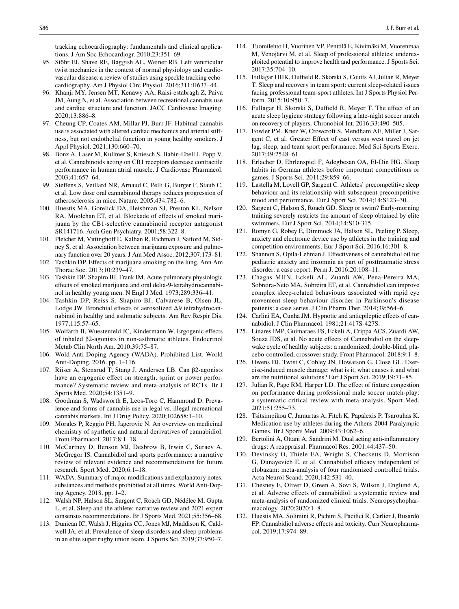tracking echocardiography: fundamentals and clinical applications. J Am Soc Echocardiogr. 2010;23:351–69.

- <span id="page-11-0"></span>95. Stöhr EJ, Shave RE, Baggish AL, Weiner RB. Left ventricular twist mechanics in the context of normal physiology and cardiovascular disease: a review of studies using speckle tracking echocardiography. Am J Physiol Circ Physiol. 2016;311:H633–44.
- <span id="page-11-1"></span>96. Khanji MY, Jensen MT, Kenawy AA, Raisi-estabragh Z, Paiva JM, Aung N, et al. Association between recreational cannabis use and cardiac structure and function. JACC Cardiovasc Imaging. 2020;13:886–8.
- <span id="page-11-2"></span>97. Cheung CP, Coates AM, Millar PJ, Burr JF. Habitual cannabis use is associated with altered cardiac mechanics and arterial stifness, but not endothelial function in young healthy smokers. J Appl Physiol. 2021;130:660–70.
- <span id="page-11-3"></span>98. Bonz A, Laser M, Kullmer S, Kniesch S, Babin-Ebell J, Popp V, et al. Cannabinoids acting on CB1 receptors decrease contractile performance in human atrial muscle. J Cardiovasc Pharmacol. 2003;41:657–64.
- <span id="page-11-4"></span>99. Stefens S, Veillard NR, Arnaud C, Pelli G, Burger F, Staub C, et al. Low dose oral cannabinoid therapy reduces progression of atherosclerosis in mice. Nature. 2005;434:782–6.
- <span id="page-11-5"></span>100. Huestis MA, Gorelick DA, Heishman SJ, Preston KL, Nelson RA, Moolchan ET, et al. Blockade of efects of smoked marijuana by the CB1-selective cannabinoid receptor antagonist SR141716. Arch Gen Psychiatry. 2001;58:322–8.
- <span id="page-11-6"></span>101. Pletcher M, Vittinghoff E, Kalhan R, Richman J, Safford M, Sidney S, et al. Association between marijuana exposure and pulmonary function over 20 years. J Am Med Assoc. 2012;307:173–81.
- <span id="page-11-7"></span>102. Tashkin DP. Efects of marijuana smoking on the lung. Ann Am Thorac Soc. 2013;10:239–47.
- <span id="page-11-8"></span>103. Tashkin DP, Shapiro BJ, Frank IM. Acute pulmonary physiologic efects of smoked marijuana and oral delta-9-tetrahydrocannabinol in healthy young men. N Engl J Med. 1973;289:336–41.
- <span id="page-11-9"></span>104. Tashkin DP, Reiss S, Shapiro BJ, Calvarese B, Olsen JL, Lodge JW. Bronchial effects of aerosolized Δ9 tetrahydrocannabinol in healthy and asthmatic subjects. Am Rev Respir Dis. 1977;115:57–65.
- <span id="page-11-10"></span>105. Wolfarth B, Wuestenfeld JC, Kindermann W. Ergogenic efects of inhaled β2-agonists in non-asthmatic athletes. Endocrinol Metab Clin North Am. 2010;39:75–87.
- <span id="page-11-11"></span>106. Wold-Anti Doping Agency (WADA). Prohibited List. World Anti-Doping. 2016. pp. 1–116.
- <span id="page-11-12"></span>107. Riiser A, Stensrud T, Stang J, Andersen LB. Can β2-agonists have an ergogenic efect on strength, sprint or power performance? Systematic review and meta-analysis of RCTs. Br J Sports Med. 2020;54:1351–9.
- <span id="page-11-13"></span>108. Goodman S, Wadsworth E, Leos-Toro C, Hammond D. Prevalence and forms of cannabis use in legal vs. illegal recreational cannabis markets. Int J Drug Policy. 2020;102658:1–10.
- <span id="page-11-14"></span>109. Morales P, Reggio PH, Jagerovic N. An overview on medicinal chemistry of synthetic and natural derivatives of cannabidiol. Front Pharmacol. 2017;8:1–18.
- <span id="page-11-15"></span>110. McCartney D, Benson MJ, Desbrow B, Irwin C, Suraev A, McGregor IS. Cannabidiol and sports performance: a narrative review of relevant evidence and recommendations for future research. Sport Med. 2020;6:1–18.
- <span id="page-11-16"></span>111. WADA. Summary of major modifcations and explanatory notes: substances and methods prohibited at all times. World Anti-Doping Agency. 2018. pp. 1–2.
- <span id="page-11-17"></span>112. Walsh NP, Halson SL, Sargent C, Roach GD, Nédélec M, Gupta L, et al. Sleep and the athlete: narrative review and 2021 expert consensus recommendations. Br J Sports Med. 2021;55:356–68.
- <span id="page-11-18"></span>113. Dunican IC, Walsh J, Higgins CC, Jones MJ, Maddison K, Caldwell JA, et al. Prevalence of sleep disorders and sleep problems in an elite super rugby union team. J Sports Sci. 2019;37:950–7.
- <span id="page-11-19"></span>114. Tuomilehto H, Vuorinen VP, Penttilä E, Kivimäki M, Vuorenmaa M, Venojärvi M, et al. Sleep of professional athletes: underexploited potential to improve health and performance. J Sports Sci. 2017;35:704–10.
- <span id="page-11-20"></span>115. Fullagar HHK, Duffield R, Skorski S, Coutts AJ, Julian R, Meyer T. Sleep and recovery in team sport: current sleep-related issues facing professional team-sport athletes. Int J Sports Physiol Perform. 2015;10:950–7.
- <span id="page-11-21"></span>116. Fullagar H, Skorski S, Duffield R, Meyer T. The effect of an acute sleep hygiene strategy following a late-night soccer match on recovery of players. Chronobiol Int. 2016;33:490–505.
- <span id="page-11-22"></span>117. Fowler PM, Knez W, Crowcroft S, Mendham AE, Miller J, Sargent C, et al. Greater Efect of east versus west travel on jet lag, sleep, and team sport performance. Med Sci Sports Exerc. 2017;49:2548–61.
- <span id="page-11-23"></span>118. Erlacher D, Ehrlenspiel F, Adegbesan OA, El-Din HG. Sleep habits in German athletes before important competitions or games. J Sports Sci. 2011;29:859–66.
- 119. Lastella M, Lovell GP, Sargent C. Athletes' precompetitive sleep behaviour and its relationship with subsequent precompetitive mood and performance. Eur J Sport Sci. 2014;14:S123–30.
- 120. Sargent C, Halson S, Roach GD. Sleep or swim? Early-morning training severely restricts the amount of sleep obtained by elite swimmers. Eur J Sport Sci. 2014;14:S10-315.
- <span id="page-11-24"></span>121. Romyn G, Robey E, Dimmock JA, Halson SL, Peeling P. Sleep, anxiety and electronic device use by athletes in the training and competition environments. Eur J Sport Sci. 2016;16:301–8.
- <span id="page-11-25"></span>122. Shannon S, Opila-Lehman J. Efectiveness of cannabidiol oil for pediatric anxiety and insomnia as part of posttraumatic stress disorder: a case report. Perm J. 2016;20:108–11.
- <span id="page-11-26"></span>123. Chagas MHN, Eckeli AL, Zuardi AW, Pena-Pereira MA, Sobreira-Neto MA, Sobreira ET, et al. Cannabidiol can improve complex sleep-related behaviours associated with rapid eye movement sleep behaviour disorder in Parkinson's disease patients: a case series. J Clin Pharm Ther. 2014;39:564–6.
- <span id="page-11-27"></span>124. Carlini EA, Cunha JM. Hypnotic and antiepileptic efects of cannabidiol. J Clin Pharmacol. 1981;21:417S-427S.
- <span id="page-11-28"></span>125. Linares IMP, Guimaraes FS, Eckeli A, Crippa ACS, Zuardi AW, Souza JDS, et al. No acute effects of Cannabidiol on the sleepwake cycle of healthy subjects: a randomized, double-blind, placebo-controlled, crossover study. Front Pharmacol. 2018;9:1–8.
- <span id="page-11-29"></span>126. Owens DJ, Twist C, Cobley JN, Howatson G, Close GL. Exercise-induced muscle damage: what is it, what causes it and what are the nutritional solutions? Eur J Sport Sci. 2019;19:71–85.
- <span id="page-11-30"></span>127. Julian R, Page RM, Harper LD. The effect of fixture congestion on performance during professional male soccer match-play: a systematic critical review with meta-analysis. Sport Med. 2021;51:255–73.
- <span id="page-11-31"></span>128. Tsitsimpikou C, Jamurtas A, Fitch K, Papalexis P, Tsarouhas K. Medication use by athletes during the Athens 2004 Paralympic Games. Br J Sports Med. 2009;43:1062–6.
- <span id="page-11-32"></span>129. Bertolini A, Ottani A, Sandrini M. Dual acting anti-infammatory drugs: A reappraisal. Pharmacol Res. 2001;44:437–50.
- <span id="page-11-33"></span>130. Devinsky O, Thiele EA, Wright S, Checketts D, Morrison G, Dunayevich E, et al. Cannabidiol efficacy independent of clobazam: meta-analysis of four randomized controlled trials. Acta Neurol Scand. 2020;142:531–40.
- <span id="page-11-34"></span>131. Chesney E, Oliver D, Green A, Sovi S, Wilson J, Englund A, et al. Adverse efects of cannabidiol: a systematic review and meta-analysis of randomized clinical trials. Neuropsychopharmacology. 2020;2020:1–8.
- <span id="page-11-35"></span>132. Huestis MA, Solimini R, Pichini S, Pacifci R, Carlier J, Busardò FP. Cannabidiol adverse effects and toxicity. Curr Neuropharmacol. 2019;17:974–89.